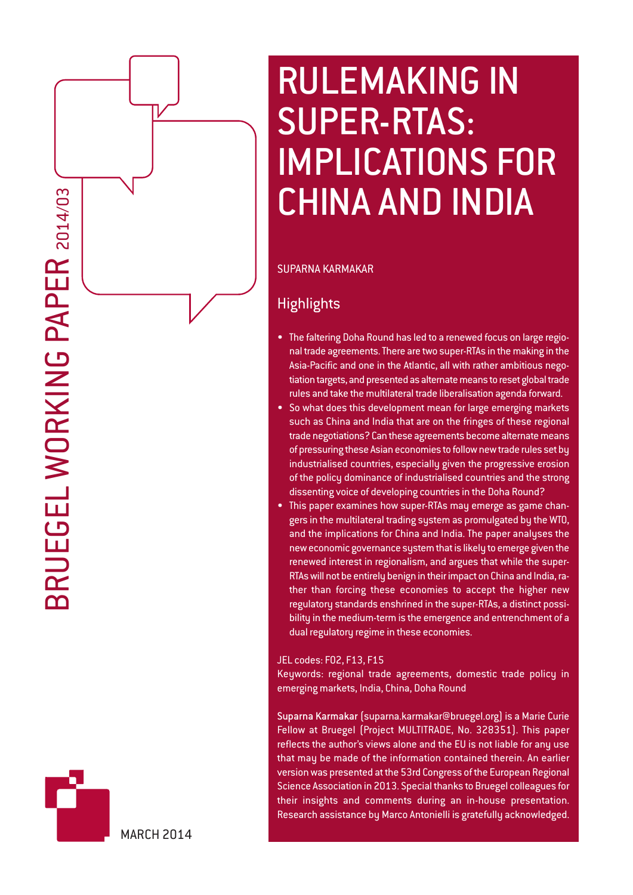

# RULEMAKING IN SUPER-RTAS: IMPLICATIONS FOR CHINA AND INDIA

# SUPARNA KARMAKAR

# **Highlights**

- The faltering Doha Round has led to a renewed focus on large regional trade agreements. There are two super-RTAs in the making in the Asia-Pacific and one in the Atlantic, all with rather ambitious negotiation targets, and presented as alternate means to reset global trade rules and take the multilateral trade liberalisation agenda forward.
- So what does this development mean for large emerging markets such as China and India that are on the fringes of these regional trade negotiations? Can these agreements become alternate means of pressuring these Asian economies to follow new trade rules set by industrialised countries, especially given the progressive erosion of the policy dominance of industrialised countries and the strong dissenting voice of developing countries in the Doha Round?
- This paper examines how super-RTAs may emerge as game changers in the multilateral trading system as promulgated by the WTO, and the implications for China and India. The paper analyses the new economic governance system that is likely to emerge given the renewed interest in regionalism, and argues that while the super-RTAs will not be entirely benign in their impact on China and India, rather than forcing these economies to accept the higher new regulatory standards enshrined in the super-RTAs, a distinct possibility in the medium-term is the emergence and entrenchment of a dual regulatory regime in these economies.

JEL codes: F02, F13, F15

Keywords: regional trade agreements, domestic trade policy in emerging markets, India, China, Doha Round

Suparna Karmakar (suparna.karmakar@bruegel.org) is a Marie Curie Fellow at Bruegel (Project MULTITRADE, No. 328351). This paper reflects the author's views alone and the EU is not liable for any use that may be made of the information contained therein. An earlier version was presented at the 53rd Congress of the European Regional Science Association in 2013. Special thanks to Bruegel colleagues for their insights and comments during an in-house presentation. Research assistance by Marco Antonielli is gratefully acknowledged.

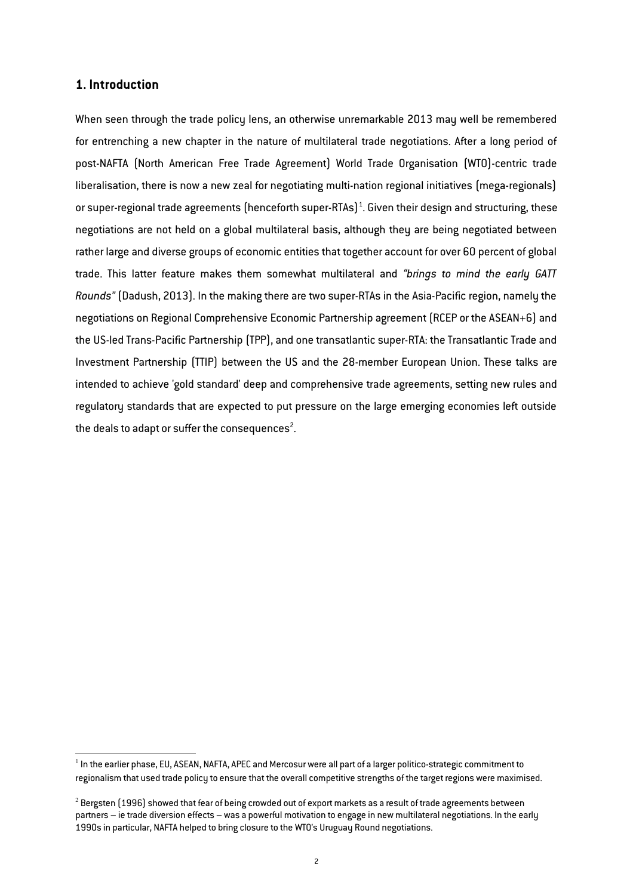### **1. Introduction**

When seen through the trade policy lens, an otherwise unremarkable 2013 may well be remembered for entrenching a new chapter in the nature of multilateral trade negotiations. After a long period of post-NAFTA (North American Free Trade Agreement) World Trade Organisation (WTO)-centric trade liberalisation, there is now a new zeal for negotiating multi-nation regional initiatives (mega-regionals) or super-regional trade agreements (henceforth super-RTAs) $^1$  $^1$ . Given their design and structuring, these negotiations are not held on a global multilateral basis, although they are being negotiated between rather large and diverse groups of economic entities that together account for over 60 percent of global trade. This latter feature makes them somewhat multilateral and *"brings to mind the early GATT Rounds"* (Dadush, 2013). In the making there are two super-RTAs in the Asia-Pacific region, namely the negotiations on Regional Comprehensive Economic Partnership agreement (RCEP or the ASEAN+6) and the US-led Trans-Pacific Partnership (TPP), and one transatlantic super-RTA: the Transatlantic Trade and Investment Partnership (TTIP) between the US and the 28-member European Union. These talks are intended to achieve 'gold standard' deep and comprehensive trade agreements, setting new rules and regulatory standards that are expected to put pressure on the large emerging economies left outside the deals to adapt or suffer the consequences<sup>[2](#page-1-1)</sup>.

<span id="page-1-0"></span> $^{\rm 1}$  In the earlier phase, EU, ASEAN, NAFTA, APEC and Mercosur were all part of a larger politico-strategic commitment to regionalism that used trade policu to ensure that the overall competitive strengths of the target regions were maximised.

<span id="page-1-1"></span> $^2$  Bergsten (1996) showed that fear of being crowded out of export markets as a result of trade agreements between partners – ie trade diversion effects – was a powerful motivation to engage in new multilateral negotiations. In the early 1990s in particular, NAFTA helped to bring closure to the WTO's Uruguay Round negotiations.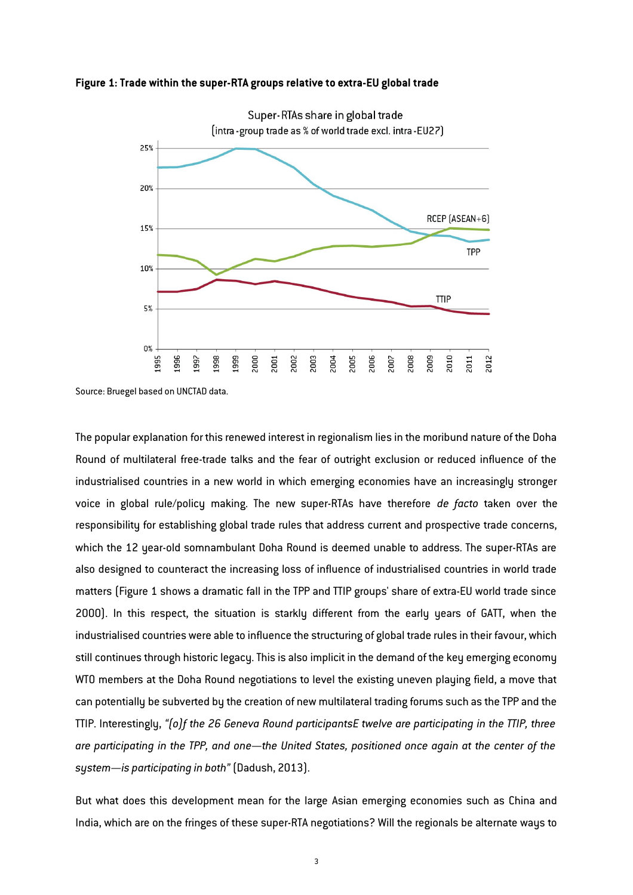



Source: Bruegel based on UNCTAD data.

The popular explanation for this renewed interest in regionalism lies in the moribund nature of the Doha Round of multilateral free-trade talks and the fear of outright exclusion or reduced influence of the industrialised countries in a new world in which emerging economies have an increasingly stronger voice in global rule/policy making. The new super-RTAs have therefore *de facto* taken over the responsibility for establishing global trade rules that address current and prospective trade concerns, which the 12 year-old somnambulant Doha Round is deemed unable to address. The super-RTAs are also designed to counteract the increasing loss of influence of industrialised countries in world trade matters (Figure 1 shows a dramatic fall in the TPP and TTIP groups' share of extra-EU world trade since 2000). In this respect, the situation is starkly different from the early years of GATT, when the industrialised countries were able to influence the structuring of global trade rules in their favour, which still continues through historic legacy. This is also implicit in the demand of the key emerging economy WTO members at the Doha Round negotiations to level the existing uneven playing field, a move that can potentially be subverted by the creation of new multilateral trading forums such as the TPP and the TTIP. Interestingly, *"(o)f the 26 Geneva Round participants… twelve are participating in the TTIP, three are participating in the TPP, and one—the United States, positioned once again at the center of the system—is participating in both"* (Dadush, 2013).

But what does this development mean for the large Asian emerging economies such as China and India, which are on the fringes of these super-RTA negotiations? Will the regionals be alternate ways to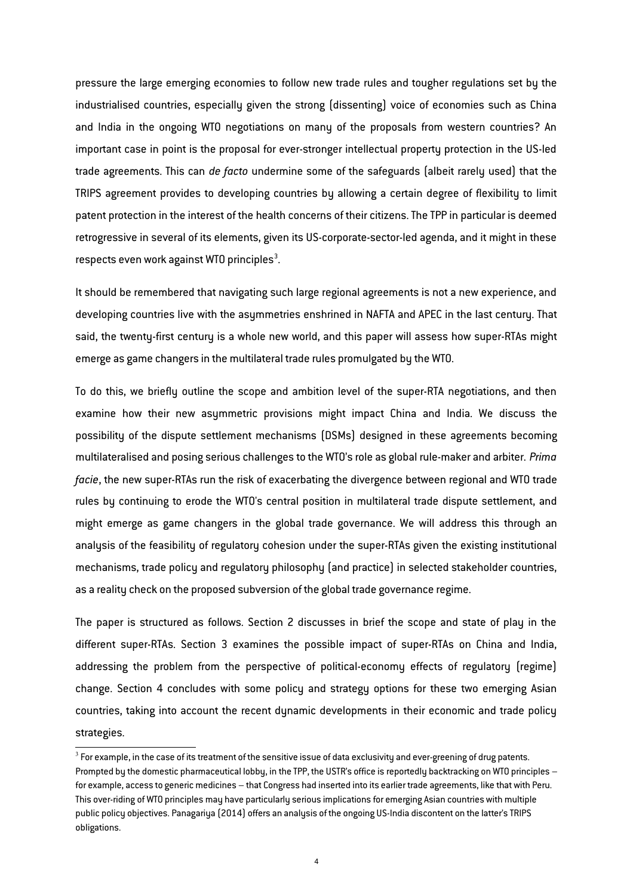pressure the large emerging economies to follow new trade rules and tougher regulations set by the industrialised countries, especially given the strong (dissenting) voice of economies such as China and India in the ongoing WTO negotiations on many of the proposals from western countries? An important case in point is the proposal for ever-stronger intellectual property protection in the US-led trade agreements. This can *de facto* undermine some of the safeguards (albeit rarely used) that the TRIPS agreement provides to developing countries by allowing a certain degree of flexibility to limit patent protection in the interest of the health concerns of their citizens. The TPP in particular is deemed retrogressive in several of its elements, given its US-corporate-sector-led agenda, and it might in these respects even work against WTO principles<sup>[3](#page-3-0)</sup>.

It should be remembered that navigating such large regional agreements is not a new experience, and developing countries live with the asymmetries enshrined in NAFTA and APEC in the last century. That said, the twenty-first century is a whole new world, and this paper will assess how super-RTAs might emerge as game changers in the multilateral trade rules promulgated by the WTO.

To do this, we briefly outline the scope and ambition level of the super-RTA negotiations, and then examine how their new asymmetric provisions might impact China and India. We discuss the possibility of the dispute settlement mechanisms (DSMs) designed in these agreements becoming multilateralised and posing serious challenges to the WTO's role as global rule-maker and arbiter. *Prima facie*, the new super-RTAs run the risk of exacerbating the divergence between regional and WTO trade rules by continuing to erode the WTO's central position in multilateral trade dispute settlement, and might emerge as game changers in the global trade governance. We will address this through an analysis of the feasibility of regulatory cohesion under the super-RTAs given the existing institutional mechanisms, trade policy and regulatory philosophy (and practice) in selected stakeholder countries, as a reality check on the proposed subversion of the global trade governance regime.

The paper is structured as follows. Section 2 discusses in brief the scope and state of play in the different super-RTAs. Section 3 examines the possible impact of super-RTAs on China and India, addressing the problem from the perspective of political-economy effects of regulatory (regime) change. Section 4 concludes with some policy and strategy options for these two emerging Asian countries, taking into account the recent dynamic developments in their economic and trade policy strategies.

<span id="page-3-0"></span> $^3$  For example, in the case of its treatment of the sensitive issue of data exclusivity and ever-greening of drug patents. Prompted by the domestic pharmaceutical lobby, in the TPP, the USTR's office is reportedly backtracking on WTO principles – for example, access to generic medicines – that Congress had inserted into its earlier trade agreements, like that with Peru. This over-riding of WTO principles may have particularly serious implications for emerging Asian countries with multiple public policy objectives. Panagariya (2014) offers an analysis of the ongoing US-India discontent on the latter's TRIPS obligations.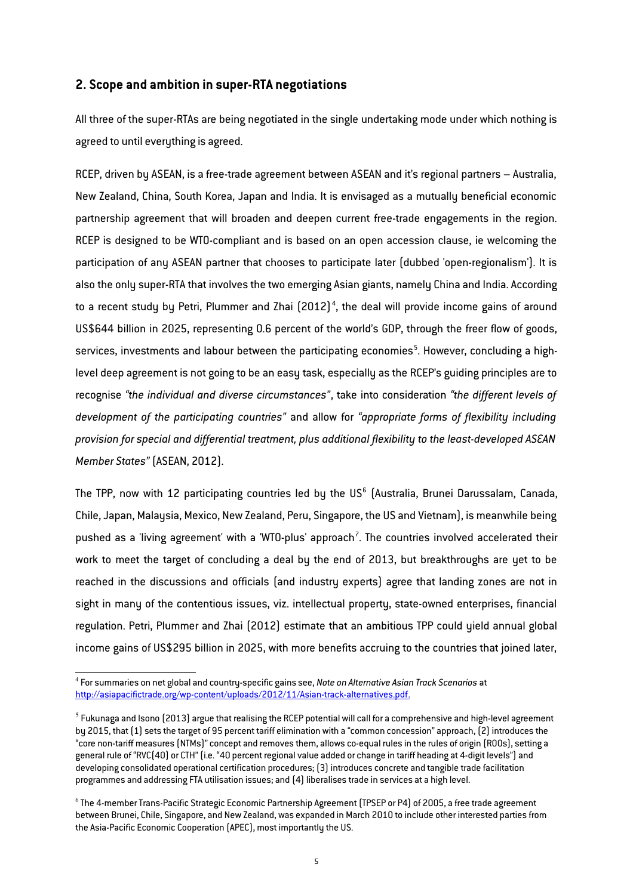## **2. Scope and ambition in super-RTA negotiations**

All three of the super-RTAs are being negotiated in the single undertaking mode under which nothing is agreed to until everything is agreed.

RCEP, driven by ASEAN, is a free-trade agreement between ASEAN and it's regional partners – Australia, New Zealand, China, South Korea, Japan and India. It is envisaged as a mutually beneficial economic partnership agreement that will broaden and deepen current free-trade engagements in the region. RCEP is designed to be WTO-compliant and is based on an open accession clause, ie welcoming the participation of any ASEAN partner that chooses to participate later (dubbed 'open-regionalism'). It is also the only super-RTA that involves the two emerging Asian giants, namely China and India. According to a recent study by Petri, Plummer and Zhai  $\left[2012\right]^4$  $\left[2012\right]^4$ , the deal will provide income gains of around US\$644 billion in 2025, representing 0.6 percent of the world's GDP, through the freer flow of goods, services, investments and labour between the participating economies ${}^5$  ${}^5$ . However, concluding a highlevel deep agreement is not going to be an easy task, especially as the RCEP's guiding principles are to recognise *"the individual and diverse circumstances"*, take into consideration *"the different levels of development of the participating countries"* and allow for *"appropriate forms of flexibility including provision for special and differential treatment, plus additional flexibility to the least-developed ASEAN Member States"* (ASEAN, 2012).

The TPP, now with 12 participating countries led by the US $^{\rm 6}$  $^{\rm 6}$  $^{\rm 6}$  (Australia, Brunei Darussalam, Canada, Chile, Japan, Malaysia, Mexico, New Zealand, Peru, Singapore, the US and Vietnam), is meanwhile being pushed as a 'living agreement' with a 'WTO-plus' approach<sup>[7](#page-5-0)</sup>. The countries involved accelerated their work to meet the target of concluding a deal by the end of 2013, but breakthroughs are yet to be reached in the discussions and officials (and industry experts) agree that landing zones are not in sight in many of the contentious issues, viz. intellectual property, state-owned enterprises, financial regulation. Petri, Plummer and Zhai (2012) estimate that an ambitious TPP could yield annual global income gains of US\$295 billion in 2025, with more benefits accruing to the countries that joined later,

<span id="page-4-0"></span><sup>4</sup> For summaries on net global and country-specific gains see, *Note on Alternative Asian Track Scenarios* at http://asiapacifictrade.org/wp-content/uploads/2012/11/Asian-track-alternatives.pdf.

<span id="page-4-1"></span> $^5$  Fukunaga and Isono (2013) argue that realising the RCEP potential will call for a comprehensive and high-level agreement by 2015, that (1) sets the target of 95 percent tariff elimination with a "common concession" approach, (2) introduces the "core non-tariff measures (NTMs)" concept and removes them, allows co-equal rules in the rules of origin (ROOs), setting a general rule of "RVC(40) or CTH" (i.e. "40 percent regional value added or change in tariff heading at 4-digit levels") and developing consolidated operational certification procedures; (3) introduces concrete and tangible trade facilitation programmes and addressing FTA utilisation issues; and (4) liberalises trade in services at a high level.

<span id="page-4-2"></span><sup>6</sup> The 4-member Trans-Pacific Strategic Economic Partnership Agreement (TPSEP or P4) of 2005, a free trade agreement between Brunei, Chile, Singapore, and New Zealand, was expanded in March 2010 to include other interested parties from the Asia-Pacific Economic Cooperation (APEC), most importantly the US.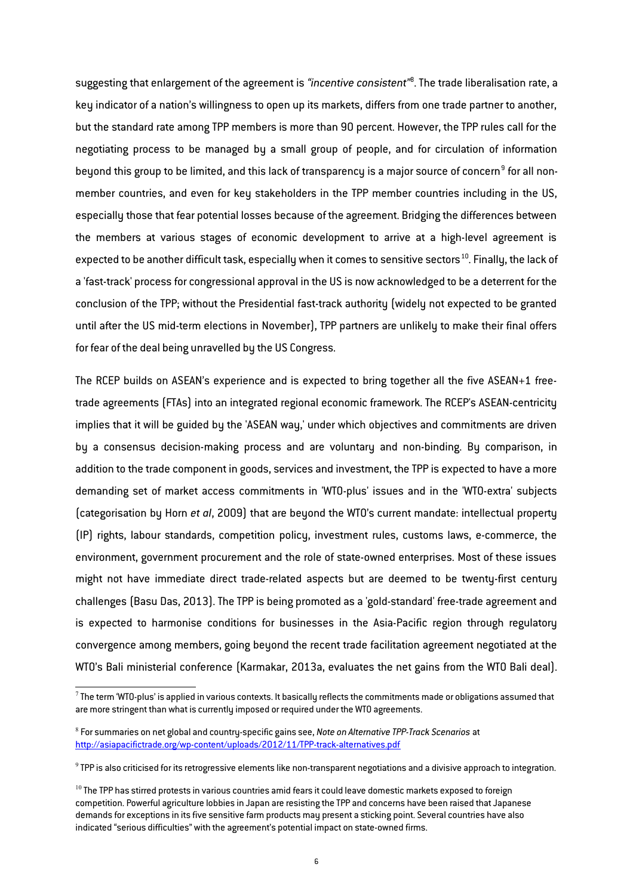suggesting that enlargement of the agreement is *"incentive consistent"*[8](#page-5-1) . The trade liberalisation rate, a key indicator of a nation's willingness to open up its markets, differs from one trade partner to another, but the standard rate among TPP members is more than 90 percent. However, the TPP rules call for the negotiating process to be managed by a small group of people, and for circulation of information beyond this group to be limited, and this lack of transparency is a major source of concern $^{\mathrm{g}}$  for all nonmember countries, and even for key stakeholders in the TPP member countries including in the US, especially those that fear potential losses because of the agreement. Bridging the differences between the members at various stages of economic development to arrive at a high-level agreement is expected to be another difficult task, especially when it comes to sensitive sectors<sup>[10](#page-5-3)</sup>. Finally, the lack of a 'fast-track' process for congressional approval in the US is now acknowledged to be a deterrent for the conclusion of the TPP; without the Presidential fast-track authority (widely not expected to be granted until after the US mid-term elections in November), TPP partners are unlikely to make their final offers for fear of the deal being unravelled by the US Congress.

The RCEP builds on ASEAN's experience and is expected to bring together all the five ASEAN+1 freetrade agreements (FTAs) into an integrated regional economic framework. The RCEP's ASEAN-centricity implies that it will be guided by the 'ASEAN way,' under which objectives and commitments are driven by a consensus decision-making process and are voluntary and non-binding. By comparison, in addition to the trade component in goods, services and investment, the TPP is expected to have a more demanding set of market access commitments in 'WTO-plus' issues and in the 'WTO-extra' subjects (categorisation by Horn *et al*, 2009) that are beyond the WTO's current mandate: intellectual property (IP) rights, labour standards, competition policy, investment rules, customs laws, e-commerce, the environment, government procurement and the role of state-owned enterprises. Most of these issues might not have immediate direct trade-related aspects but are deemed to be twenty-first century challenges (Basu Das, 2013). The TPP is being promoted as a 'gold-standard' free-trade agreement and is expected to harmonise conditions for businesses in the Asia-Pacific region through regulatory convergence among members, going beyond the recent trade facilitation agreement negotiated at the WTO's Bali ministerial conference (Karmakar, 2013a, evaluates the net gains from the WTO Bali deal).

<span id="page-5-0"></span> $^7$  The term 'WTO-plus' is applied in various contexts. It basically reflects the commitments made or obligations assumed that are more stringent than what is currently imposed or required under the WTO agreements.

<span id="page-5-1"></span><sup>8</sup> For summaries on net global and country-specific gains see, *Note on Alternative TPP-Track Scenarios* at <http://asiapacifictrade.org/wp-content/uploads/2012/11/TPP-track-alternatives.pdf>

<span id="page-5-2"></span> $^9$  TPP is also criticised for its retrogressive elements like non-transparent negotiations and a divisive approach to integration.

<span id="page-5-3"></span> $10$  The TPP has stirred protests in various countries amid fears it could leave domestic markets exposed to foreign competition. Powerful agriculture lobbies in Japan are resisting the TPP and concerns have been raised that Japanese demands for exceptions in its five sensitive farm products may present a sticking point. Several countries have also indicated "serious difficulties" with the agreement's potential impact on state-owned firms.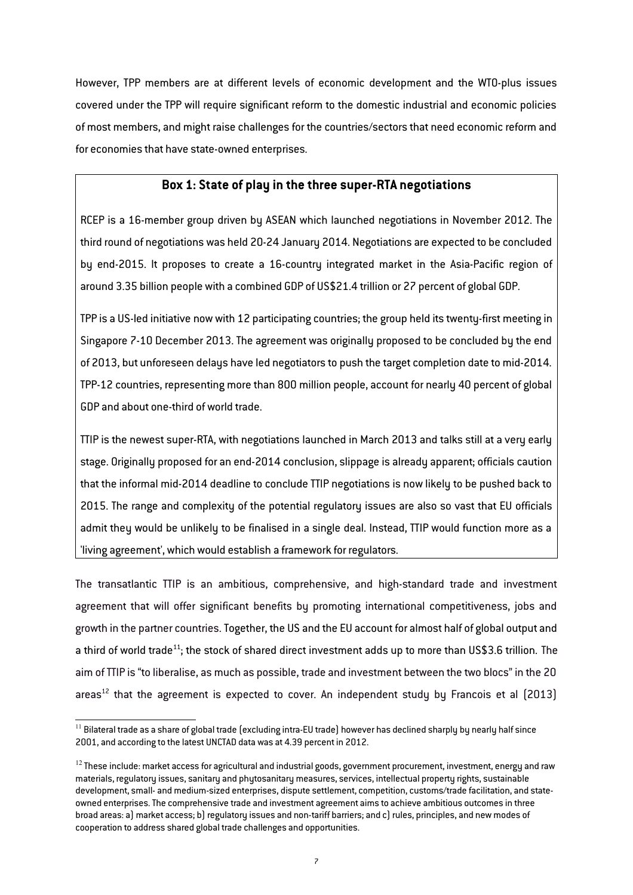However, TPP members are at different levels of economic development and the WTO-plus issues covered under the TPP will require significant reform to the domestic industrial and economic policies of most members, and might raise challenges for the countries/sectors that need economic reform and for economies that have state-owned enterprises.

# **Box 1: State of play in the three super-RTA negotiations**

RCEP is a 16-member group driven by ASEAN which launched negotiations in November 2012. The third round of negotiations was held 20-24 January 2014. Negotiations are expected to be concluded by end-2015. It proposes to create a 16-country integrated market in the Asia-Pacific region of around 3.35 billion people with a combined GDP of US\$21.4 trillion or 27 percent of global GDP.

TPP is a US-led initiative now with 12 participating countries; the group held its twenty-first meeting in Singapore 7-10 December 2013. The agreement was originally proposed to be concluded by the end of 2013, but unforeseen delays have led negotiators to push the target completion date to mid-2014. TPP-12 countries, representing more than 800 million people, account for nearly 40 percent of global GDP and about one-third of world trade.

TTIP is the newest super-RTA, with negotiations launched in March 2013 and talks still at a very early stage. Originally proposed for an end-2014 conclusion, slippage is already apparent; officials caution that the informal mid-2014 deadline to conclude TTIP negotiations is now likely to be pushed back to 2015. The range and complexity of the potential regulatory issues are also so vast that EU officials admit they would be unlikely to be finalised in a single deal. Instead, TTIP would function more as a 'living agreement', which would establish a framework for regulators.

The transatlantic TTIP is an ambitious, comprehensive, and high-standard trade and investment agreement that will offer significant benefits by promoting international competitiveness, jobs and growth in the partner countries. Together, the US and the EU account for almost half of global output and a third of world trade<sup>[11](#page-6-0)</sup>; the stock of shared direct investment adds up to more than US\$3.6 trillion. The aim of TTIP is "to liberalise, as much as possible, trade and investment between the two blocs" in the 20 areas<sup>[12](#page-6-1)</sup> that the agreement is expected to cover. An independent studu by Francois et al  $(2013)$ 

<span id="page-6-0"></span> $11$  Bilateral trade as a share of global trade (excluding intra-EU trade) however has declined sharply by nearly half since 2001, and according to the latest UNCTAD data was at 4.39 percent in 2012.

<span id="page-6-1"></span> $12$  These include: market access for agricultural and industrial goods, government procurement, investment, energy and raw materials, regulatory issues, sanitary and phytosanitary measures, services, intellectual property rights, sustainable development, small- and medium-sized enterprises, dispute settlement, competition, customs/trade facilitation, and stateowned enterprises. The comprehensive trade and investment agreement aims to achieve ambitious outcomes in three broad areas: a) market access; b) regulatory issues and non-tariff barriers; and c) rules, principles, and new modes of cooperation to address shared global trade challenges and opportunities.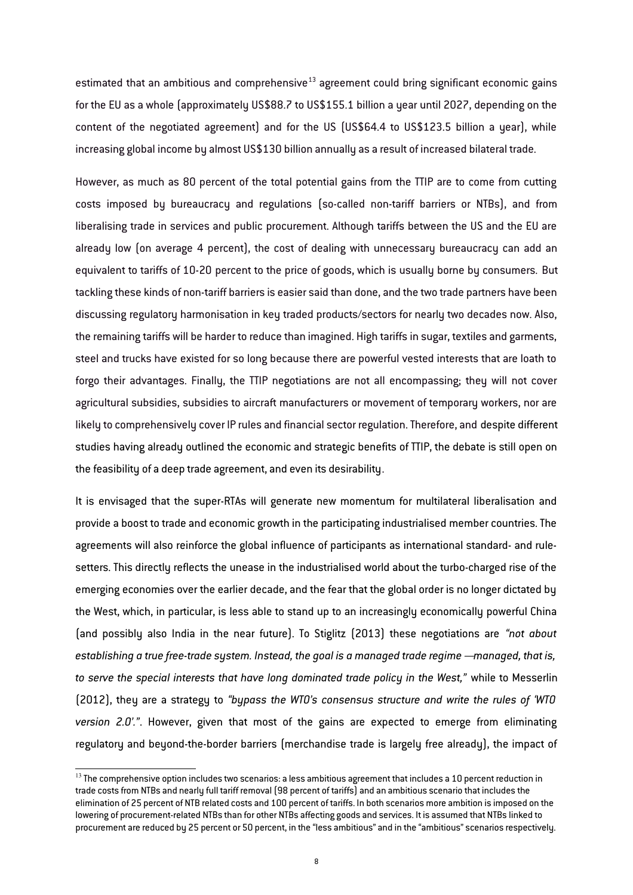estimated that an ambitious and comprehensive $13$  agreement could bring significant economic gains for the EU as a whole (approximately US\$88.7 to US\$155.1 billion a year until 2027, depending on the content of the negotiated agreement) and for the US (US\$64.4 to US\$123.5 billion a year), while increasing global income by almost US\$130 billion annually as a result of increased bilateral trade.

However, as much as 80 percent of the total potential gains from the TTIP are to come from cutting costs imposed by bureaucracy and regulations (so-called non-tariff barriers or NTBs), and from liberalising trade in services and public procurement. Although tariffs between the US and the EU are already low (on average 4 percent), the cost of dealing with unnecessary bureaucracy can add an equivalent to tariffs of 10-20 percent to the price of goods, which is usually borne by consumers. But tackling these kinds of non-tariff barriers is easier said than done, and the two trade partners have been discussing regulatory harmonisation in key traded products/sectors for nearly two decades now. Also, the remaining tariffs will be harder to reduce than imagined. High tariffs in sugar, textiles and garments, steel and trucks have existed for so long because there are powerful vested interests that are loath to forgo their advantages. Finally, the TTIP negotiations are not all encompassing; they will not cover agricultural subsidies, subsidies to aircraft manufacturers or movement of temporary workers, nor are likely to comprehensively cover IP rules and financial sector regulation. Therefore, and despite different studies having already outlined the economic and strategic benefits of TTIP, the debate is still open on the feasibility of a deep trade agreement, and even its desirability.

It is envisaged that the super-RTAs will generate new momentum for multilateral liberalisation and provide a boost to trade and economic growth in the participating industrialised member countries. The agreements will also reinforce the global influence of participants as international standard- and rulesetters. This directly reflects the unease in the industrialised world about the turbo-charged rise of the emerging economies over the earlier decade, and the fear that the global order is no longer dictated by the West, which, in particular, is less able to stand up to an increasingly economically powerful China (and possibly also India in the near future). To Stiglitz (2013) these negotiations are *"not about establishing a true free-trade system. Instead, the goal is a managed trade regime – managed, that is, to serve the special interests that have long dominated trade policy in the West,"* while to Messerlin (2012), they are a strategy to *"bypass the WTO's consensus structure and write the rules of 'WTO version 2.0'."*. However, given that most of the gains are expected to emerge from eliminating regulatory and beyond-the-border barriers (merchandise trade is largely free already), the impact of

<span id="page-7-0"></span> $13$  The comprehensive option includes two scenarios: a less ambitious agreement that includes a 10 percent reduction in trade costs from NTBs and nearly full tariff removal (98 percent of tariffs) and an ambitious scenario that includes the elimination of 25 percent of NTB related costs and 100 percent of tariffs. In both scenarios more ambition is imposed on the lowering of procurement-related NTBs than for other NTBs affecting goods and services. It is assumed that NTBs linked to procurement are reduced by 25 percent or 50 percent, in the "less ambitious" and in the "ambitious" scenarios respectively.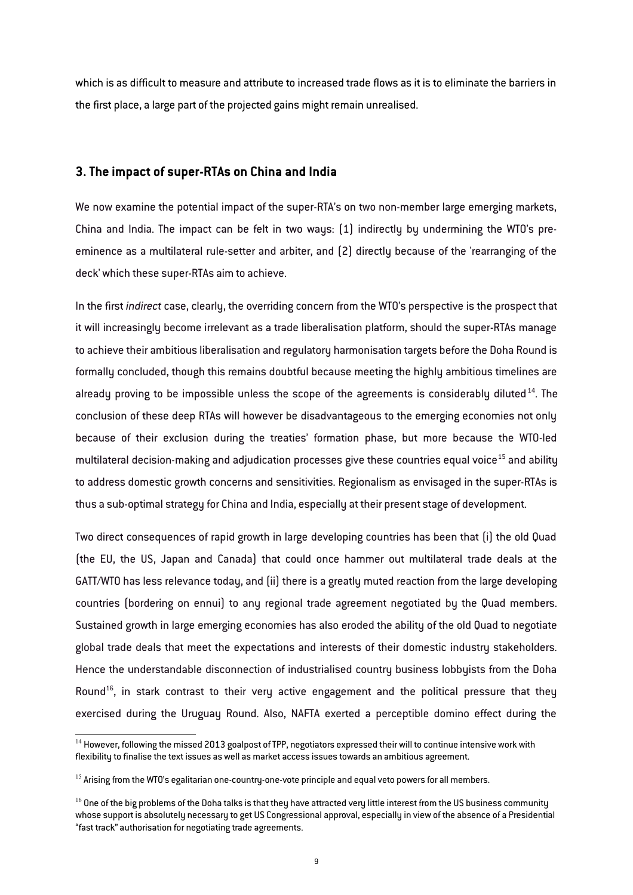which is as difficult to measure and attribute to increased trade flows as it is to eliminate the barriers in the first place, a large part of the projected gains might remain unrealised.

#### **3. The impact of super-RTAs on China and India**

We now examine the potential impact of the super-RTA's on two non-member large emerging markets, China and India. The impact can be felt in two ways: (1) indirectly by undermining the WTO's preeminence as a multilateral rule-setter and arbiter, and (2) directly because of the 'rearranging of the deck' which these super-RTAs aim to achieve.

In the first *indirect* case, clearly, the overriding concern from the WTO's perspective is the prospect that it will increasingly become irrelevant as a trade liberalisation platform, should the super-RTAs manage to achieve their ambitious liberalisation and regulatory harmonisation targets before the Doha Round is formally concluded, though this remains doubtful because meeting the highly ambitious timelines are already proving to be impossible unless the scope of the agreements is considerably diluted<sup>[14](#page-8-0)</sup>. The conclusion of these deep RTAs will however be disadvantageous to the emerging economies not only because of their exclusion during the treaties' formation phase, but more because the WTO-led multilateral decision-making and adjudication processes give these countries equal voice<sup>[15](#page-8-1)</sup> and abilitu to address domestic growth concerns and sensitivities. Regionalism as envisaged in the super-RTAs is thus a sub-optimal strategy for China and India, especially at their present stage of development.

Two direct consequences of rapid growth in large developing countries has been that (i) the old Quad (the EU, the US, Japan and Canada) that could once hammer out multilateral trade deals at the GATT/WTO has less relevance today, and (ii) there is a greatly muted reaction from the large developing countries (bordering on ennui) to any regional trade agreement negotiated by the Quad members. Sustained growth in large emerging economies has also eroded the ability of the old Quad to negotiate global trade deals that meet the expectations and interests of their domestic industry stakeholders. Hence the understandable disconnection of industrialised country business lobbyists from the Doha Round<sup>[16](#page-8-2)</sup>, in stark contrast to their very active engagement and the political pressure that they exercised during the Uruguay Round. Also, NAFTA exerted a perceptible domino effect during the

<span id="page-8-0"></span> $14$  However, following the missed 2013 goalpost of TPP, negotiators expressed their will to continue intensive work with flexibility to finalise the text issues as well as market access issues towards an ambitious agreement.

<span id="page-8-1"></span><sup>&</sup>lt;sup>15</sup> Arising from the WTO's egalitarian one-country-one-vote principle and equal veto powers for all members.

<span id="page-8-2"></span> $16$  One of the big problems of the Doha talks is that they have attracted very little interest from the US business community whose support is absolutely necessary to get US Congressional approval, especially in view of the absence of a Presidential "fast track" authorisation for negotiating trade agreements.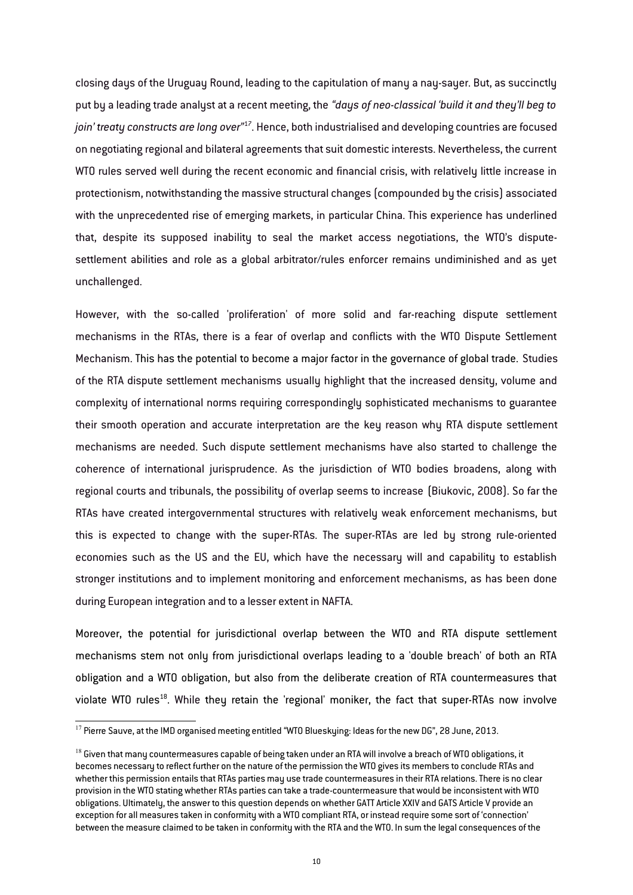closing days of the Uruguay Round, leading to the capitulation of many a nay-sayer. But, as succinctly put by a leading trade analyst at a recent meeting, the *"days of neo-classical 'build it and they'll beg to join' treaty constructs are long over"*[17](#page-9-0). Hence, both industrialised and developing countries are focused on negotiating regional and bilateral agreements that suit domestic interests. Nevertheless, the current WTO rules served well during the recent economic and financial crisis, with relatively little increase in protectionism, notwithstanding the massive structural changes (compounded by the crisis) associated with the unprecedented rise of emerging markets, in particular China. This experience has underlined that, despite its supposed inability to seal the market access negotiations, the WTO's disputesettlement abilities and role as a global arbitrator/rules enforcer remains undiminished and as yet unchallenged.

However, with the so-called 'proliferation' of more solid and far-reaching dispute settlement mechanisms in the RTAs, there is a fear of overlap and conflicts with the WTO Dispute Settlement Mechanism. This has the potential to become a major factor in the governance of global trade. Studies of the RTA dispute settlement mechanisms usually highlight that the increased density, volume and complexity of international norms requiring correspondingly sophisticated mechanisms to guarantee their smooth operation and accurate interpretation are the key reason why RTA dispute settlement mechanisms are needed. Such dispute settlement mechanisms have also started to challenge the coherence of international jurisprudence. As the jurisdiction of WTO bodies broadens, along with regional courts and tribunals, the possibility of overlap seems to increase (Biukovic, 2008). So far the RTAs have created intergovernmental structures with relatively weak enforcement mechanisms, but this is expected to change with the super-RTAs. The super-RTAs are led by strong rule-oriented economies such as the US and the EU, which have the necessary will and capability to establish stronger institutions and to implement monitoring and enforcement mechanisms, as has been done during European integration and to a lesser extent in NAFTA.

Moreover, the potential for jurisdictional overlap between the WTO and RTA dispute settlement mechanisms stem not only from jurisdictional overlaps leading to a 'double breach' of both an RTA obligation and a WTO obligation, but also from the deliberate creation of RTA countermeasures that violate WTO rules<sup>[18](#page-9-1)</sup>. While they retain the 'regional' moniker, the fact that super-RTAs now involve

<span id="page-9-0"></span><sup>&</sup>lt;sup>17</sup> Pierre Sauve, at the IMD organised meeting entitled "WTO Blueskying: Ideas for the new DG", 28 June, 2013.

<span id="page-9-1"></span> $^{18}$  Given that many countermeasures capable of being taken under an RTA will involve a breach of WTO obligations, it becomes necessary to reflect further on the nature of the permission the WTO gives its members to conclude RTAs and whether this permission entails that RTAs parties may use trade countermeasures in their RTA relations. There is no clear provision in the WTO stating whether RTAs parties can take a trade-countermeasure that would be inconsistent with WTO obligations. Ultimately, the answer to this question depends on whether GATT Article XXIV and GATS Article V provide an exception for all measures taken in conformity with a WTO compliant RTA, or instead require some sort of 'connection' between the measure claimed to be taken in conformity with the RTA and the WTO. In sum the legal consequences of the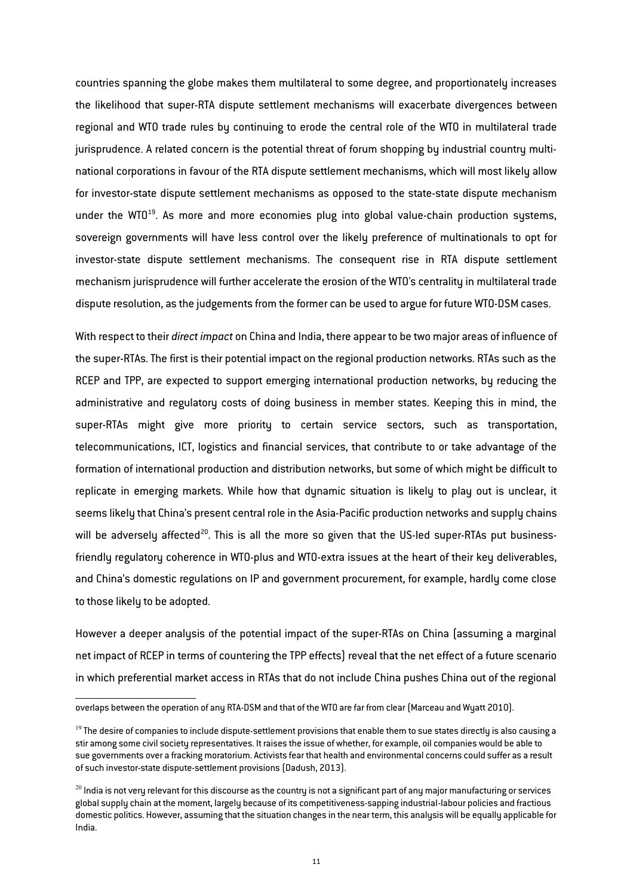countries spanning the globe makes them multilateral to some degree, and proportionately increases the likelihood that super-RTA dispute settlement mechanisms will exacerbate divergences between regional and WTO trade rules by continuing to erode the central role of the WTO in multilateral trade jurisprudence. A related concern is the potential threat of forum shopping by industrial country multinational corporations in favour of the RTA dispute settlement mechanisms, which will most likely allow for investor-state dispute settlement mechanisms as opposed to the state-state dispute mechanism under the WTO $19$ . As more and more economies plug into global value-chain production systems, sovereign governments will have less control over the likely preference of multinationals to opt for investor-state dispute settlement mechanisms. The consequent rise in RTA dispute settlement mechanism jurisprudence will further accelerate the erosion of the WTO's centrality in multilateral trade dispute resolution, as the judgements from the former can be used to argue for future WTO-DSM cases.

With respect to their *direct impact* on China and India, there appear to be two major areas of influence of the super-RTAs. The first is their potential impact on the regional production networks. RTAs such as the RCEP and TPP, are expected to support emerging international production networks, by reducing the administrative and regulatory costs of doing business in member states. Keeping this in mind, the super-RTAs might give more priority to certain service sectors, such as transportation, telecommunications, ICT, logistics and financial services, that contribute to or take advantage of the formation of international production and distribution networks, but some of which might be difficult to replicate in emerging markets. While how that dynamic situation is likely to play out is unclear, it seems likely that China's present central role in the Asia-Pacific production networks and supply chains will be adversely affected<sup>[20](#page-10-1)</sup>. This is all the more so given that the US-led super-RTAs put businessfriendly regulatory coherence in WTO-plus and WTO-extra issues at the heart of their key deliverables, and China's domestic regulations on IP and government procurement, for example, hardly come close to those likely to be adopted.

However a deeper analysis of the potential impact of the super-RTAs on China (assuming a marginal net impact of RCEP in terms of countering the TPP effects) reveal that the net effect of a future scenario in which preferential market access in RTAs that do not include China pushes China out of the regional

overlaps between the operation of any RTA-DSM and that of the WTO are far from clear (Marceau and Wyatt 2010).

<span id="page-10-0"></span> $19$  The desire of companies to include dispute-settlement provisions that enable them to sue states directly is also causing a stir among some civil society representatives. It raises the issue of whether, for example, oil companies would be able to sue governments over a fracking moratorium. Activists fear that health and environmental concerns could suffer as a result of such investor-state dispute-settlement provisions (Dadush, 2013).

<span id="page-10-1"></span> $^{20}$  India is not very relevant for this discourse as the country is not a significant part of any major manufacturing or services global supply chain at the moment, largely because of its competitiveness-sapping industrial-labour policies and fractious domestic politics. However, assuming that the situation changes in the near term, this analysis will be equally applicable for India.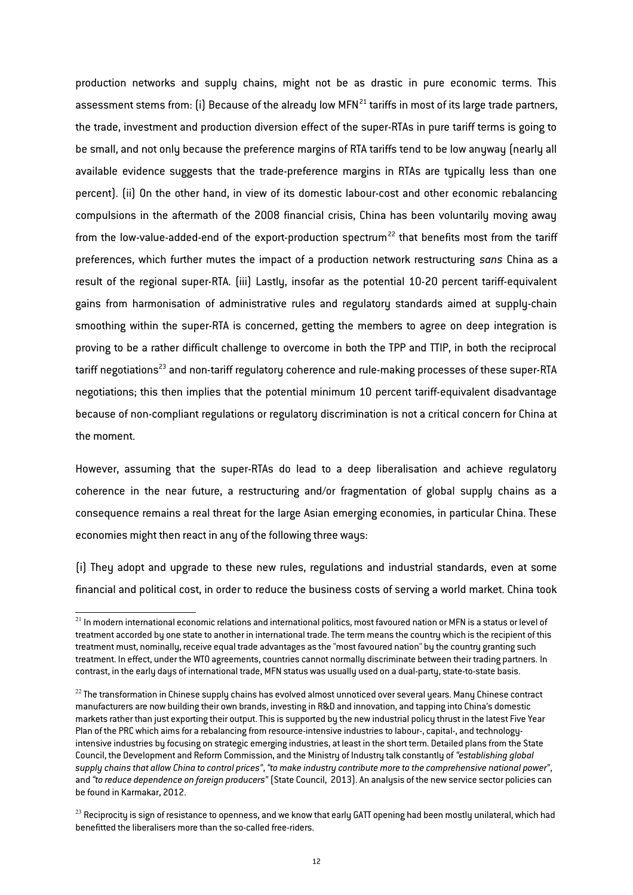production networks and supply chains, might not be as drastic in pure economic terms. This assessment stems from: (i) Because of the already low MFN<sup>[21](#page-11-0)</sup> tariffs in most of its large trade partners, the trade, investment and production diversion effect of the super-RTAs in pure tariff terms is going to be small, and not only because the preference margins of RTA tariffs tend to be low anyway (nearly all available evidence suggests that the trade-preference margins in RTAs are typically less than one percent). (ii) On the other hand, in view of its domestic labour-cost and other economic rebalancing compulsions in the aftermath of the 2008 financial crisis, China has been voluntarily moving away from the low-value-added-end of the export-production spectrum<sup>[22](#page-11-1)</sup> that benefits most from the tariff preferences, which further mutes the impact of a production network restructuring *sans* China as a result of the regional super-RTA. (iii) Lastly, insofar as the potential 10-20 percent tariff-equivalent gains from harmonisation of administrative rules and regulatory standards aimed at supply-chain smoothing within the super-RTA is concerned, getting the members to agree on deep integration is proving to be a rather difficult challenge to overcome in both the TPP and TTIP, in both the reciprocal tariff negotiations<sup>[23](#page-11-2)</sup> and non-tariff regulatory coherence and rule-making processes of these super-RTA negotiations; this then implies that the potential minimum 10 percent tariff-equivalent disadvantage because of non-compliant regulations or regulatory discrimination is not a critical concern for China at the moment.

However, assuming that the super-RTAs do lead to a deep liberalisation and achieve regulatory coherence in the near future, a restructuring and/or fragmentation of global supply chains as a consequence remains a real threat for the large Asian emerging economies, in particular China. These economies might then react in any of the following three ways:

(i) They adopt and upgrade to these new rules, regulations and industrial standards, even at some financial and political cost, in order to reduce the business costs of serving a world market. China took

<span id="page-11-0"></span> $^{21}$  In modern international economic relations and international politics, most favoured nation or MFN is a status or level of treatment accorded by one state to another in international trade. The term means the country which is the recipient of this treatment must, nominally, receive equal trade advantages as the "most favoured nation" by the country granting such treatment. In effect, under the WTO agreements, countries cannot normally discriminate between their trading partners. In contrast, in the early days of international trade, MFN status was usually used on a dual-party, state-to-state basis.

<span id="page-11-1"></span> $^{22}$  The transformation in Chinese supply chains has evolved almost unnoticed over several years. Many Chinese contract manufacturers are now building their own brands, investing in R&D and innovation, and tapping into China's domestic markets rather than just exporting their output. This is supported by the new industrial policy thrust in the latest Five Year Plan of the PRC which aims for a rebalancing from resource-intensive industries to labour-, capital-, and technologyintensive industries by focusing on strategic emerging industries, at least in the short term. Detailed plans from the State Council, the Development and Reform Commission, and the Ministry of Industry talk constantly of *"establishing global supply chains that allow China to control prices"*, *"to make industry contribute more to the comprehensive national power"*, and *"to reduce dependence on foreign producers"* (State Council, 2013). An analysis of the new service sector policies can be found in Karmakar, 2012.

<span id="page-11-2"></span><sup>&</sup>lt;sup>23</sup> Reciprocity is sign of resistance to openness, and we know that early GATT opening had been mostly unilateral, which had benefitted the liberalisers more than the so-called free-riders.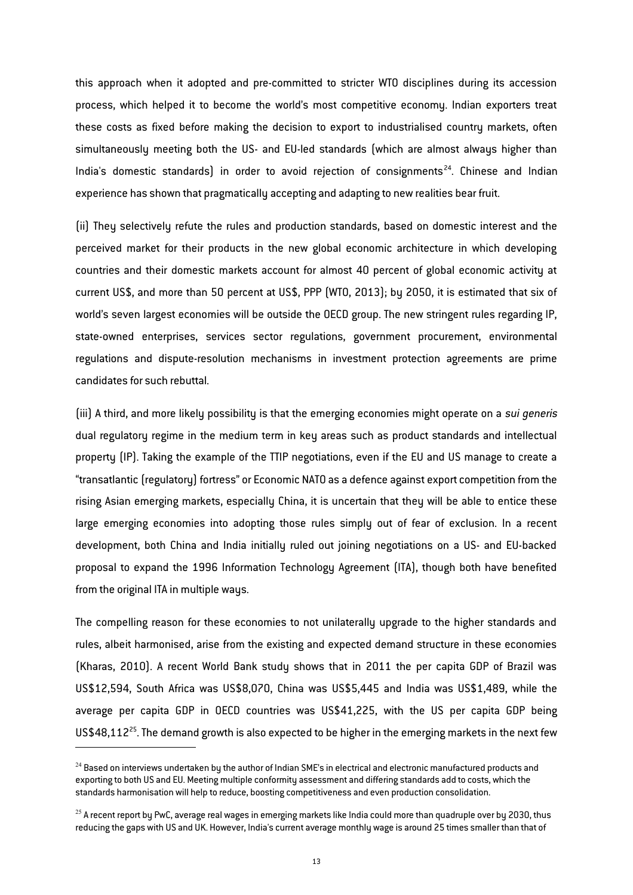this approach when it adopted and pre-committed to stricter WTO disciplines during its accession process, which helped it to become the world's most competitive economy. Indian exporters treat these costs as fixed before making the decision to export to industrialised country markets, often simultaneously meeting both the US- and EU-led standards (which are almost always higher than India's domestic standards) in order to avoid rejection of consignments<sup>[24](#page-12-0)</sup>. Chinese and Indian experience has shown that pragmatically accepting and adapting to new realities bear fruit.

(ii) They selectively refute the rules and production standards, based on domestic interest and the perceived market for their products in the new global economic architecture in which developing countries and their domestic markets account for almost 40 percent of global economic activity at current US\$, and more than 50 percent at US\$, PPP (WTO, 2013); by 2050, it is estimated that six of world's seven largest economies will be outside the OECD group. The new stringent rules regarding IP, state-owned enterprises, services sector regulations, government procurement, environmental regulations and dispute-resolution mechanisms in investment protection agreements are prime candidates for such rebuttal.

(iii) A third, and more likely possibility is that the emerging economies might operate on a *sui generis* dual regulatory regime in the medium term in key areas such as product standards and intellectual property (IP). Taking the example of the TTIP negotiations, even if the EU and US manage to create a "transatlantic (regulatory) fortress" or Economic NATO as a defence against export competition from the rising Asian emerging markets, especially China, it is uncertain that they will be able to entice these large emerging economies into adopting those rules simply out of fear of exclusion. In a recent development, both China and India initially ruled out joining negotiations on a US- and EU-backed proposal to expand the 1996 Information Technology Agreement (ITA), though both have benefited from the original ITA in multiple ways.

The compelling reason for these economies to not unilaterally upgrade to the higher standards and rules, albeit harmonised, arise from the existing and expected demand structure in these economies (Kharas, 2010). A recent World Bank study shows that in 2011 the per capita GDP of Brazil was US\$12,594, South Africa was US\$8,070, China was US\$5,445 and India was US\$1,489, while the average per capita GDP in OECD countries was US\$41,225, with the US per capita GDP being US\$48,112<sup>[25](#page-12-1)</sup>. The demand growth is also expected to be higher in the emerging markets in the next few

<span id="page-12-0"></span> $24$  Based on interviews undertaken by the author of Indian SME's in electrical and electronic manufactured products and exporting to both US and EU. Meeting multiple conformity assessment and differing standards add to costs, which the standards harmonisation will help to reduce, boosting competitiveness and even production consolidation.

<span id="page-12-1"></span> $25$  A recent report by PwC, average real wages in emerging markets like India could more than quadruple over by 2030, thus reducing the gaps with US and UK. However, India's current average monthly wage is around 25 times smaller than that of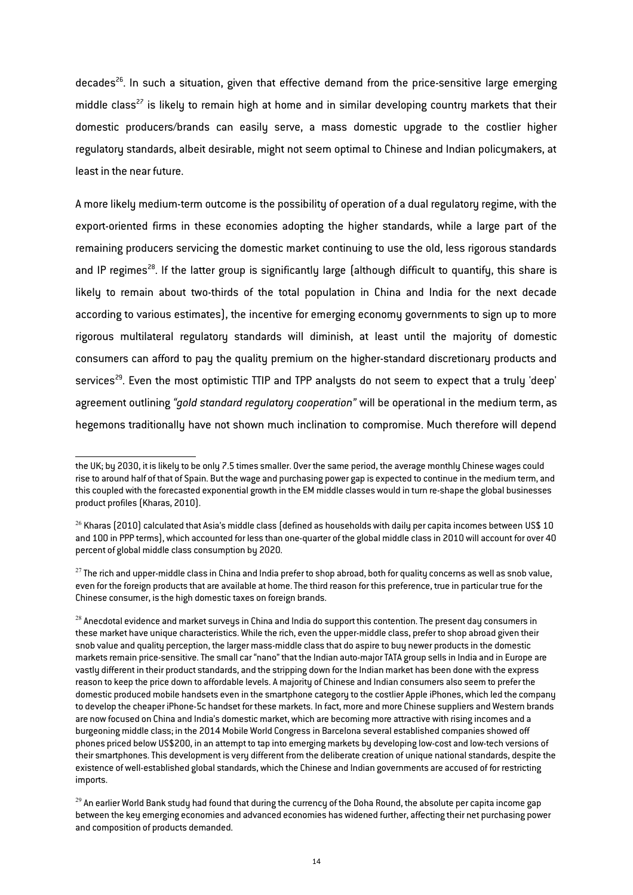decades<sup>[26](#page-13-0)</sup>. In such a situation, given that effective demand from the price-sensitive large emerging middle class<sup>[27](#page-13-1)</sup> is likely to remain high at home and in similar developing country markets that their domestic producers/brands can easily serve, a mass domestic upgrade to the costlier higher regulatory standards, albeit desirable, might not seem optimal to Chinese and Indian policymakers, at least in the near future.

A more likely medium-term outcome is the possibility of operation of a dual regulatory regime, with the export-oriented firms in these economies adopting the higher standards, while a large part of the remaining producers servicing the domestic market continuing to use the old, less rigorous standards and IP regimes<sup>[28](#page-13-2)</sup>. If the latter group is significantly large (although difficult to quantify, this share is likely to remain about two-thirds of the total population in China and India for the next decade according to various estimates), the incentive for emerging economy governments to sign up to more rigorous multilateral regulatory standards will diminish, at least until the majority of domestic consumers can afford to pay the quality premium on the higher-standard discretionary products and services<sup>[29](#page-13-3)</sup>. Even the most optimistic TTIP and TPP analysts do not seem to expect that a truly 'deep' agreement outlining *"gold standard regulatory cooperation"* will be operational in the medium term, as hegemons traditionally have not shown much inclination to compromise. Much therefore will depend

the UK; by 2030, it is likely to be only 7.5 times smaller. Over the same period, the average monthly Chinese wages could rise to around half of that of Spain. But the wage and purchasing power gap is expected to continue in the medium term, and this coupled with the forecasted exponential growth in the EM middle classes would in turn re-shape the global businesses product profiles (Kharas, 2010).

<span id="page-13-0"></span> $^{26}$  Kharas (2010) calculated that Asia's middle class (defined as households with daily per capita incomes between US\$ 10 and 100 in PPP terms), which accounted for less than one-quarter of the global middle class in 2010 will account for over 40 percent of global middle class consumption by 2020.

<span id="page-13-1"></span> $^{27}$  The rich and upper-middle class in China and India prefer to shop abroad, both for quality concerns as well as snob value, even for the foreign products that are available at home. The third reason for this preference, true in particular true for the Chinese consumer, is the high domestic taxes on foreign brands.

<span id="page-13-2"></span> $^{28}$  Anecdotal evidence and market surveys in China and India do support this contention. The present day consumers in these market have unique characteristics. While the rich, even the upper-middle class, prefer to shop abroad given their snob value and quality perception, the larger mass-middle class that do aspire to buy newer products in the domestic markets remain price-sensitive. The small car "nano" that the Indian auto-major TATA group sells in India and in Europe are vastly different in their product standards, and the stripping down for the Indian market has been done with the express reason to keep the price down to affordable levels. A majority of Chinese and Indian consumers also seem to prefer the domestic produced mobile handsets even in the smartphone category to the costlier Apple iPhones, which led the company to develop the cheaper iPhone-5c handset for these markets. In fact, more and more Chinese suppliers and Western brands are now focused on China and India's domestic market, which are becoming more attractive with rising incomes and a burgeoning middle class; in the 2014 Mobile World Congress in Barcelona several established companies showed off phones priced below US\$200, in an attempt to tap into emerging markets by developing low-cost and low-tech versions of their smartphones. This development is very different from the deliberate creation of unique national standards, despite the existence of well-established global standards, which the Chinese and Indian governments are accused of for restricting imports.

<span id="page-13-3"></span> $^{29}$  An earlier World Bank study had found that during the currency of the Doha Round, the absolute per capita income gap between the key emerging economies and advanced economies has widened further, affecting their net purchasing power and composition of products demanded.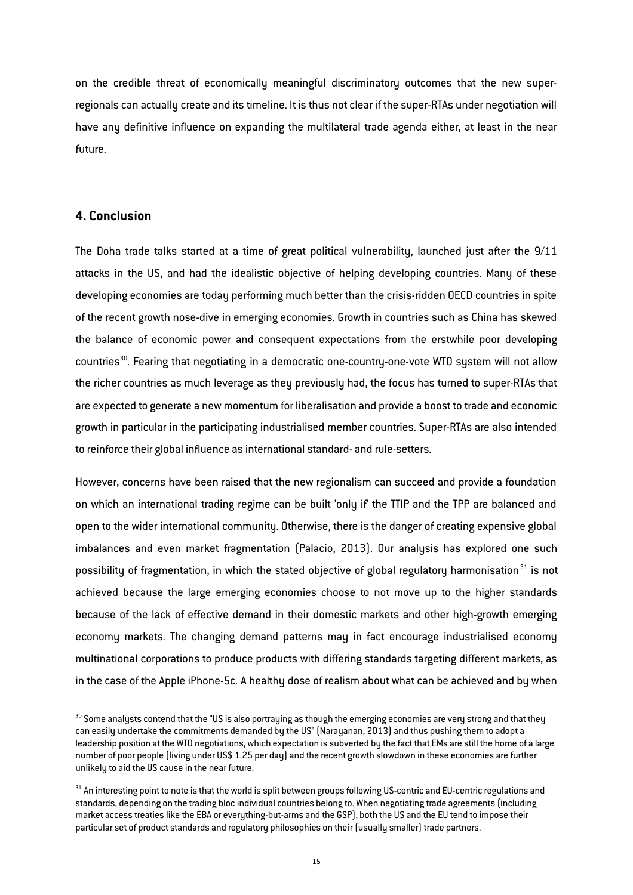on the credible threat of economically meaningful discriminatory outcomes that the new superregionals can actually create and its timeline. It is thus not clear if the super-RTAs under negotiation will have any definitive influence on expanding the multilateral trade agenda either, at least in the near future.

#### **4. Conclusion**

The Doha trade talks started at a time of great political vulnerability, launched just after the 9/11 attacks in the US, and had the idealistic objective of helping developing countries. Many of these developing economies are today performing much better than the crisis-ridden OECD countries in spite of the recent growth nose-dive in emerging economies. Growth in countries such as China has skewed the balance of economic power and consequent expectations from the erstwhile poor developing countries<sup>[30](#page-14-0)</sup>. Fearing that negotiating in a democratic one-country-one-vote WTO system will not allow the richer countries as much leverage as they previously had, the focus has turned to super-RTAs that are expected to generate a new momentum for liberalisation and provide a boost to trade and economic growth in particular in the participating industrialised member countries. Super-RTAs are also intended to reinforce their global influence as international standard- and rule-setters.

However, concerns have been raised that the new regionalism can succeed and provide a foundation on which an international trading regime can be built 'only if' the TTIP and the TPP are balanced and open to the wider international community. Otherwise, there is the danger of creating expensive global imbalances and even market fragmentation (Palacio, 2013). Our analysis has explored one such possibility of fragmentation, in which the stated objective of global regulatory harmonisation<sup>[31](#page-14-1)</sup> is not achieved because the large emerging economies choose to not move up to the higher standards because of the lack of effective demand in their domestic markets and other high-growth emerging economy markets. The changing demand patterns may in fact encourage industrialised economy multinational corporations to produce products with differing standards targeting different markets, as in the case of the Apple iPhone-5c. A healthy dose of realism about what can be achieved and by when

<span id="page-14-0"></span> $30$  Some analysts contend that the "US is also portraying as though the emerging economies are very strong and that they can easily undertake the commitments demanded by the US" (Narayanan, 2013) and thus pushing them to adopt a leadership position at the WTO negotiations, which expectation is subverted by the fact that EMs are still the home of a large number of poor people (living under US\$ 1.25 per day) and the recent growth slowdown in these economies are further unlikely to aid the US cause in the near future.

<span id="page-14-1"></span> $31$  An interesting point to note is that the world is split between groups following US-centric and EU-centric regulations and standards, depending on the trading bloc individual countries belong to. When negotiating trade agreements (including market access treaties like the EBA or everything-but-arms and the GSP), both the US and the EU tend to impose their particular set of product standards and regulatory philosophies on their (usually smaller) trade partners.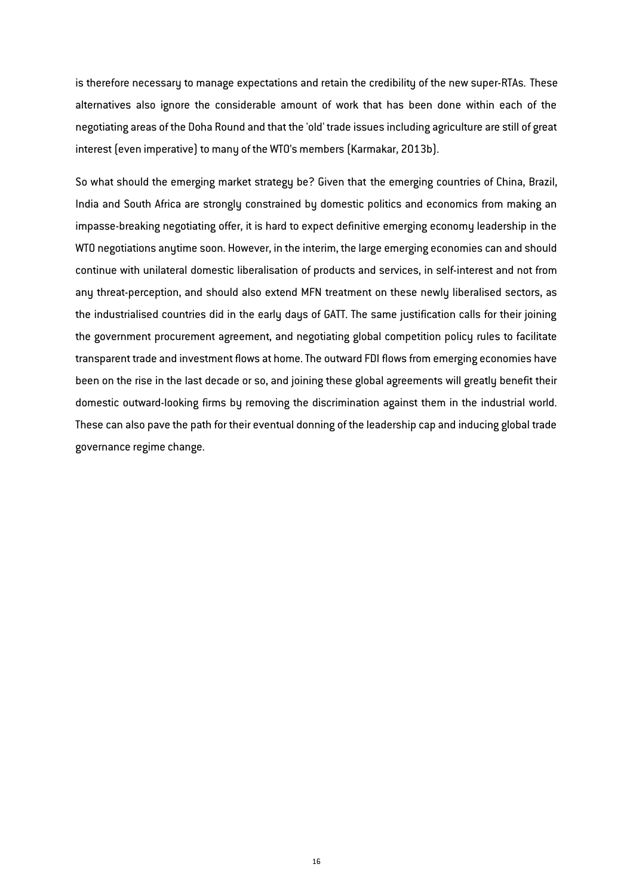is therefore necessary to manage expectations and retain the credibility of the new super-RTAs. These alternatives also ignore the considerable amount of work that has been done within each of the negotiating areas of the Doha Round and that the 'old' trade issues including agriculture are still of great interest (even imperative) to many of the WTO's members (Karmakar, 2013b).

So what should the emerging market strategy be? Given that the emerging countries of China, Brazil, India and South Africa are strongly constrained by domestic politics and economics from making an impasse-breaking negotiating offer, it is hard to expect definitive emerging economy leadership in the WTO negotiations anytime soon. However, in the interim, the large emerging economies can and should continue with unilateral domestic liberalisation of products and services, in self-interest and not from any threat-perception, and should also extend MFN treatment on these newly liberalised sectors, as the industrialised countries did in the early days of GATT. The same justification calls for their joining the government procurement agreement, and negotiating global competition policy rules to facilitate transparent trade and investment flows at home. The outward FDI flows from emerging economies have been on the rise in the last decade or so, and joining these global agreements will greatly benefit their domestic outward-looking firms by removing the discrimination against them in the industrial world. These can also pave the path for their eventual donning of the leadership cap and inducing global trade governance regime change.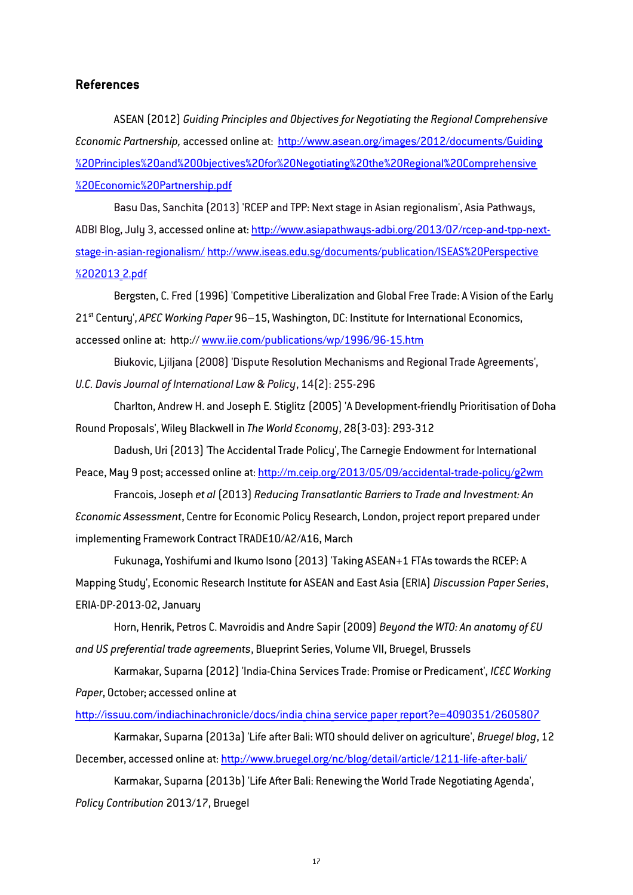### **References**

ASEAN (2012) *Guiding Principles and Objectives for Negotiating the Regional Comprehensive Economic Partnership,* accessed online at: [http://www.asean.org/images/2012/documents/Guiding](http://www.asean.org/images/2012/documents/Guiding%20Principles%20and%20Objectives%20for%20Negotiating%20the%20Regional%20Comprehensive%20Economic%20Partnership.pdf) [%20Principles%20and%20Objectives%20for%20Negotiating%20the%20Regional%20Comprehensive](http://www.asean.org/images/2012/documents/Guiding%20Principles%20and%20Objectives%20for%20Negotiating%20the%20Regional%20Comprehensive%20Economic%20Partnership.pdf) [%20Economic%20Partnership.pdf](http://www.asean.org/images/2012/documents/Guiding%20Principles%20and%20Objectives%20for%20Negotiating%20the%20Regional%20Comprehensive%20Economic%20Partnership.pdf)

Basu Das, Sanchita (2013) 'RCEP and TPP: Next stage in Asian regionalism', Asia Pathways, ADBI Blog, July 3, accessed online at: [http://www.asiapathways-adbi.org/2013/07/rcep-and-tpp-next](http://www.asiapathways-adbi.org/2013/07/rcep-and-tpp-next-stage-in-asian-regionalism/)[stage-in-asian-regionalism/](http://www.asiapathways-adbi.org/2013/07/rcep-and-tpp-next-stage-in-asian-regionalism/) [http://www.iseas.edu.sg/documents/publication/ISEAS%20Perspective](http://www.iseas.edu.sg/documents/publication/ISEAS%20Perspective%202013_2.pdf) [%202013\\_2.pdf](http://www.iseas.edu.sg/documents/publication/ISEAS%20Perspective%202013_2.pdf)

Bergsten, C. Fred (1996) 'Competitive Liberalization and Global Free Trade: A Vision of the Early 21st Century', *APEC Working Paper* 96–15, Washington, DC: Institute for International Economics, accessed online at: http:// [www.iie.com/publications/wp/1996/96-15.htm](http://www.iie.com/publications/wp/1996/96-15.htm)

Biukovic, Ljiljana (2008) 'Dispute Resolution Mechanisms and Regional Trade Agreements', *U.C. Davis Journal of International Law & Policy*, 14(2): 255-296

Charlton, Andrew H. and Joseph E. Stiglitz (2005) 'A Development-friendly Prioritisation of Doha Round Proposals', Wiley Blackwell in *The World Economy*, 28(3-03): 293-312

Dadush, Uri (2013) 'The Accidental Trade Policy', The Carnegie Endowment for International Peace, May 9 post; accessed online at: http://m.ceip.org/2013/05/09/accidental-trade-policy/g2wm

Francois, Joseph *et al* (2013) *Reducing Transatlantic Barriers to Trade and Investment: An Economic Assessment*, Centre for Economic Policy Research, London, project report prepared under implementing Framework Contract TRADE10/A2/A16, March

Fukunaga, Yoshifumi and Ikumo Isono (2013) 'Taking ASEAN+1 FTAs towards the RCEP: A Mapping Study', Economic Research Institute for ASEAN and East Asia (ERIA) *Discussion Paper Series*, ERIA-DP-2013-02, January

Horn, Henrik, Petros C. Mavroidis and Andre Sapir (2009) *Beyond the WTO: An anatomy of EU and US preferential trade agreements*, Blueprint Series, Volume VII, Bruegel, Brussels

Karmakar, Suparna (2012) 'India-China Services Trade: Promise or Predicament', *ICEC Working Paper*, October; accessed online at

http://issuu.com/indiachinachronicle/docs/india china service paper report?e=4090351/2605807

Karmakar, Suparna (2013a) 'Life after Bali: WTO should deliver on agriculture', *Bruegel blog*, 12 December, accessed online at: http://www.bruegel.org/nc/blog/detail/article/1211-life-after-bali/

Karmakar, Suparna (2013b) 'Life After Bali: Renewing the World Trade Negotiating Agenda', *Policy Contribution* 2013/17, Bruegel